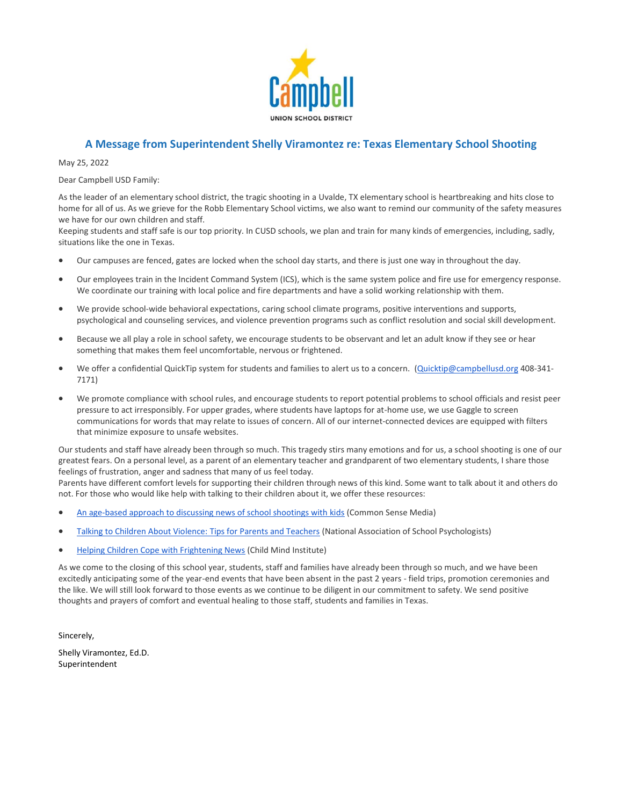

## **A Message from Superintendent Shelly Viramontez re: Texas Elementary School Shooting**

May 25, 2022

Dear Campbell USD Family:

As the leader of an elementary school district, the tragic shooting in a Uvalde, TX elementary school is heartbreaking and hits close to home for all of us. As we grieve for the Robb Elementary School victims, we also want to remind our community of the safety measures we have for our own children and staff.

Keeping students and staff safe is our top priority. In CUSD schools, we plan and train for many kinds of emergencies, including, sadly, situations like the one in Texas.

- Our campuses are fenced, gates are locked when the school day starts, and there is just one way in throughout the day.
- Our employees train in the Incident Command System (ICS), which is the same system police and fire use for emergency response. We coordinate our training with local police and fire departments and have a solid working relationship with them.
- We provide school-wide behavioral expectations, caring school climate programs, positive interventions and supports, psychological and counseling services, and violence prevention programs such as conflict resolution and social skill development.
- Because we all play a role in school safety, we encourage students to be observant and let an adult know if they see or hear something that makes them feel uncomfortable, nervous or frightened.
- We offer a confidential QuickTip system for students and families to alert us to a concern. [\(Quicktip@campbellusd.org](mailto:Quicktip@campbellusd.org) 408-341-7171)
- We promote compliance with school rules, and encourage students to report potential problems to school officials and resist peer pressure to act irresponsibly. For upper grades, where students have laptops for at-home use, we use Gaggle to screen communications for words that may relate to issues of concern. All of our internet-connected devices are equipped with filters that minimize exposure to unsafe websites.

Our students and staff have already been through so much. This tragedy stirs many emotions and for us, a school shooting is one of our greatest fears. On a personal level, as a parent of an elementary teacher and grandparent of two elementary students, I share those feelings of frustration, anger and sadness that many of us feel today.

Parents have different comfort levels for supporting their children through news of this kind. Some want to talk about it and others do not. For those who would like help with talking to their children about it, we offer these resources:

- [An age-based approach to discussing news of school shootings with kids](https://linkprotect.cudasvc.com/url?a=http%3a%2f%2femail-link.parentsquare.com%2fls%2fclick%3fupn%3doq5wnnHoD1NAxpT8rNAGXHfopvZKgwDm0Cm5QXcu5hEmjEqBPQ90lw41nnEW3BjRqa2PFj9XHBrxjQ3s5CeuS9wXTqxJmszccg5Ay03T-2FlY6fYsWuN8HVWYGtrZReuLAVHo-_HUpv9yzBhpR1fNrwfjyBwlXVZDkWVqDFMzjsI8Qg9fW85qf4zRMTeyMa-2FGOMOmztEA0JriZMWClvBjzj9vIQvbrfA0C-2BmZv-2Ftx7ndizP5tn5-2BtL9uJL0PTY1M6ka5VHDZBeYt55U1TQ2Mo-2FMCgVfWhlFpDnDh7MsVO7YM2nbz4EI-2FouoqIloXmlHVR-2FI2YKG55N7a76uis0sIoEQPzZFFstwmA5ulfat2nDsmcJLPetT9Aqls9B36spLXSiNYNCJ3gSXcIzWEZHuNazb9L-2BNrA-3D-3D&c=E,1,4za5e0PlrE5fhQ3QCCuaot7J4-rpIs974bdEIRHi54e8e1wrKubi95VilLxJLYubUWC_waDzHdRPfbTccDnMUZcbD_3aHttYO84lO0K7oXqVcG5DVQfxT50,&typo=1) (Common Sense Media)
- [Talking to Children About Violence: Tips for Parents and Teachers](https://linkprotect.cudasvc.com/url?a=http%3a%2f%2femail-link.parentsquare.com%2fls%2fclick%3fupn%3dOINAM4U8p8ElxzVkho80tRq0X7z3UD-2FkyJyaqj1eZzKlb-2Bn3sHe2ltf1XaInBYiklOgjMIZ3EblH5PDWGuvfiIAH7ZAOlFa92-2FhxSNwazPI7BztpBvi8Im5LFDQjUC5zBE24I8lrr2i0TLTjApFT2zeueqsrWlSFx8b-2B-2FP0RcYSM3XuJBfPp-2FtBcWZ-2FnYJvmp0Y8xAuYzx3bZELITZEoOxRi0Wga-2F05x6ARRyvrWmwwLfS2HlF-2BRkxx4DBFezQdzbLrj9dbDEr6rcxZNiWVLAOOV1Ccft26F-2BmTVNZyJXNtAcJ-2FHW24Sh2UoXVHSvPLT2Gs4WykGkZVWOz-2FApiMeYB0ySy5HiLNeDga8LyQhIJLkUhuMohqi41gX2b850HcS5b-2BwkbtvsXFovyDQo-2Fe2p82WwYyJuvf-2BLUntexu0wRQraKyRbgIUJUDg267jphamiSbJxy2zI-2BSelRsNZVYci3fxwPs9zdFkidOgiGDU4UzALFc5o4Ykt2CMMQXcBIbP1YfU7qaX0ZNbIFFxZ6DNnXgQnWFbAq3kfBcpoMuqbH7yVHEMAUsOUcrz-2FNLCXtX6Degd7JF0-2FrX-2B4jSLFOZzY3WFN6UZZt8i8YGQMYILbGKGr9xMe1GV6TB2bgEz3zGZ4gzesI4ggC6wmUER-2BnVW7WWDk-2FpIMnGrqW5GbXR-2F1KzuTBJECnxC3DdZdcupsvX0ESadIYSlChgOdskd0cHhIX6B-2B05yLXelmzuKuYxm9uGFT8NUnNIEWK89Bhw12cGGOeKWjA8dEdV6rCuVyf-2F9TepguLBaPTnMujL-2B4-2B2CUaBf5FZtl7Trw80QIwCiQsLe-2FvCHCU2v5KEEmzqaxp7HwFnBkwyuwitOIMBR3b6wattuq9Dm1dHMDXErw7N-2B1V4X5Z11L-2BVismmUpfDhjCIzaQ-3D-3Dm2fO_HUpv9yzBhpR1fNrwfjyBwlXVZDkWVqDFMzjsI8Qg9fW85qf4zRMTeyMa-2FGOMOmztEA0JriZMWClvBjzj9vIQvbrfA0C-2BmZv-2Ftx7ndizP5tn5-2BtL9uJL0PTY1M6ka5VHDqbMLbP8TxPU6k6U3cZfSKbKBqMnRED9FWb-2BEF9XotBYS8nHStSSt77tY-2BjcyZ1icv5jr1lTXkBc6X0B-2F1WbAfMsKz-2FIAxqIzmgLkPWM4ymVk6inmSVvK25ZoDTIAh-2FiYsa3dQ7Ccs0AbMAbTVA2AWA-3D-3D&c=E,1,qT1E9RIWWsqjYbNZatCvoM4K7Uo69GbyL9OzXLf_tSUttkT2A8ywudNQeqmuUu9NOaQGi7Ez7cPSH9Lgca5CxrdYvZuwjZgDtXUbWWGaUHCHO5F9&typo=1) (National Association of School Psychologists)
- [Helping Children Cope with Frightening News](https://linkprotect.cudasvc.com/url?a=http%3a%2f%2femail-link.parentsquare.com%2fls%2fclick%3fupn%3dOINAM4U8p8ElxzVkho80tRq0X7z3UD-2FkyJyaqj1eZzKlb-2Bn3sHe2ltf1XaInBYiklOgjMIZ3EblH5PDWGuvfiIAH7ZAOlFa92-2FhxSNwazPI7BztpBvi8Im5LFDQjUC5zBE24I8lrr2i0TLTjApFT237hGMiBQ-2F3JD5f8VDpw5hEdioIJj-2BLVHnxz4y-2Fc6HfrGcVZwcX1jWJP-2BlEUD9qHI-2B-2FqFBNwygiTpKIpOBGcYQO-2B-2FWuMA-2Bq46oJ7Rzq3pQIUao1xDd4dP07scgXGgk8tnSZI2-2FmtFcLPGN0LlJ-2BKa7CgXrQctPVeiWeK3WHSZ2DCX08uhok1PYd-2B3jcLgXAU0m3i0RP-2BRTSYjfZiNmCalC79a9wtyQkrq7E6SOrt-2F-2Bc8Su88RUNxpHBde-2BxDDOBwbVEwSFOYsPD7sHfgyJe2Ve3qbYif8EY2Zo5Gr32SyVSZx9Upx6Wi4ZJjVFXXU66TQRIuSemKonemuYpWhhghwL83KbjPG8UeCU5zzvgXWOZV5WBRonP6BBiK-2FqkesoDFlwnxkecrkTJqjreg5qd7dlxPzeT3DYhn2cXngfsI5dvEBhQ1eP0wfMjlXE4sb19JryuffNd7Zw-2BivPTru9VBjdta1IE3OohR4rbuSXNbSO9dCE8V06cvlW0-2FDiR49qSZXDND8SUMDTqM7c-2BAWUw-2BTYE-3DrIex_HUpv9yzBhpR1fNrwfjyBwlXVZDkWVqDFMzjsI8Qg9fW85qf4zRMTeyMa-2FGOMOmztEA0JriZMWClvBjzj9vIQvbrfA0C-2BmZv-2Ftx7ndizP5tn5-2BtL9uJL0PTY1M6ka5VHDGX28nBJNp2j8R1M7zYNCRGS8894Oec289eY8mTmbZAnR6ShjTTaC7wILlBgvJtPo-2BKRaXCgbb180AyOHPBPJvsU09VGWHaFDsxC626LtZ0LlsEjcmpD8PDcE931qPjMeQ2G-2BHmckQSv1MCjDhZuZtw-3D-3D&c=E,1,frCmS5yjtw5_-7ev8NkQrrTE0mkh8lZ_sUqbywTXwJWoJ-upYcl3z37tG1stZci71tloGg8d8a6zGCkuOQhQlIchvUEcPEzUgmjyS3vmsbv8iYaA-Jza7G7RNg,,&typo=1) (Child Mind Institute)

As we come to the closing of this school year, students, staff and families have already been through so much, and we have been excitedly anticipating some of the year-end events that have been absent in the past 2 years - field trips, promotion ceremonies and the like. We will still look forward to those events as we continue to be diligent in our commitment to safety. We send positive thoughts and prayers of comfort and eventual healing to those staff, students and families in Texas.

Sincerely,

Shelly Viramontez, Ed.D. Superintendent